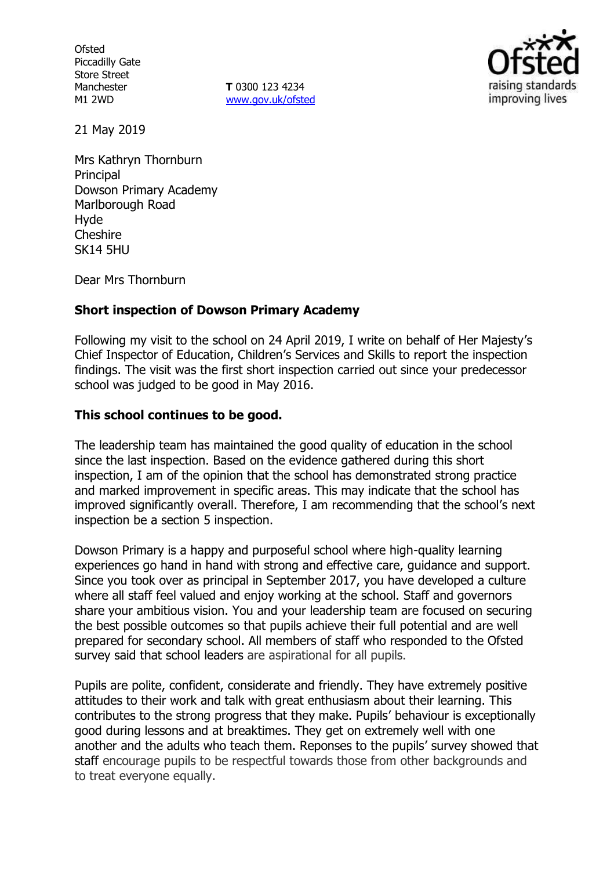**Ofsted** Piccadilly Gate Store Street Manchester M1 2WD

**T** 0300 123 4234 [www.gov.uk/ofsted](http://www.gov.uk/ofsted)



21 May 2019

Mrs Kathryn Thornburn Principal Dowson Primary Academy Marlborough Road Hyde Cheshire SK14 5HU

Dear Mrs Thornburn

## **Short inspection of Dowson Primary Academy**

Following my visit to the school on 24 April 2019, I write on behalf of Her Majesty's Chief Inspector of Education, Children's Services and Skills to report the inspection findings. The visit was the first short inspection carried out since your predecessor school was judged to be good in May 2016.

## **This school continues to be good.**

The leadership team has maintained the good quality of education in the school since the last inspection. Based on the evidence gathered during this short inspection, I am of the opinion that the school has demonstrated strong practice and marked improvement in specific areas. This may indicate that the school has improved significantly overall. Therefore, I am recommending that the school's next inspection be a section 5 inspection.

Dowson Primary is a happy and purposeful school where high-quality learning experiences go hand in hand with strong and effective care, guidance and support. Since you took over as principal in September 2017, you have developed a culture where all staff feel valued and enjoy working at the school. Staff and governors share your ambitious vision. You and your leadership team are focused on securing the best possible outcomes so that pupils achieve their full potential and are well prepared for secondary school. All members of staff who responded to the Ofsted survey said that school leaders are aspirational for all pupils.

Pupils are polite, confident, considerate and friendly. They have extremely positive attitudes to their work and talk with great enthusiasm about their learning. This contributes to the strong progress that they make. Pupils' behaviour is exceptionally good during lessons and at breaktimes. They get on extremely well with one another and the adults who teach them. Reponses to the pupils' survey showed that staff encourage pupils to be respectful towards those from other backgrounds and to treat everyone equally.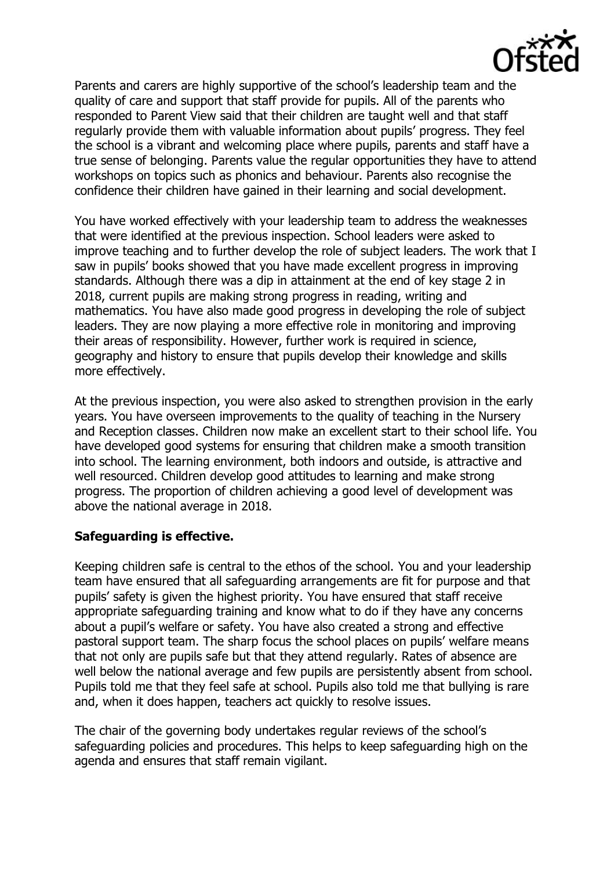Parents and carers are highly supportive of the school's leadership team and the quality of care and support that staff provide for pupils. All of the parents who responded to Parent View said that their children are taught well and that staff regularly provide them with valuable information about pupils' progress. They feel the school is a vibrant and welcoming place where pupils, parents and staff have a true sense of belonging. Parents value the regular opportunities they have to attend workshops on topics such as phonics and behaviour. Parents also recognise the confidence their children have gained in their learning and social development.

You have worked effectively with your leadership team to address the weaknesses that were identified at the previous inspection. School leaders were asked to improve teaching and to further develop the role of subject leaders. The work that I saw in pupils' books showed that you have made excellent progress in improving standards. Although there was a dip in attainment at the end of key stage 2 in 2018, current pupils are making strong progress in reading, writing and mathematics. You have also made good progress in developing the role of subject leaders. They are now playing a more effective role in monitoring and improving their areas of responsibility. However, further work is required in science, geography and history to ensure that pupils develop their knowledge and skills more effectively.

At the previous inspection, you were also asked to strengthen provision in the early years. You have overseen improvements to the quality of teaching in the Nursery and Reception classes. Children now make an excellent start to their school life. You have developed good systems for ensuring that children make a smooth transition into school. The learning environment, both indoors and outside, is attractive and well resourced. Children develop good attitudes to learning and make strong progress. The proportion of children achieving a good level of development was above the national average in 2018.

# **Safeguarding is effective.**

Keeping children safe is central to the ethos of the school. You and your leadership team have ensured that all safeguarding arrangements are fit for purpose and that pupils' safety is given the highest priority. You have ensured that staff receive appropriate safeguarding training and know what to do if they have any concerns about a pupil's welfare or safety. You have also created a strong and effective pastoral support team. The sharp focus the school places on pupils' welfare means that not only are pupils safe but that they attend regularly. Rates of absence are well below the national average and few pupils are persistently absent from school. Pupils told me that they feel safe at school. Pupils also told me that bullying is rare and, when it does happen, teachers act quickly to resolve issues.

The chair of the governing body undertakes regular reviews of the school's safeguarding policies and procedures. This helps to keep safeguarding high on the agenda and ensures that staff remain vigilant.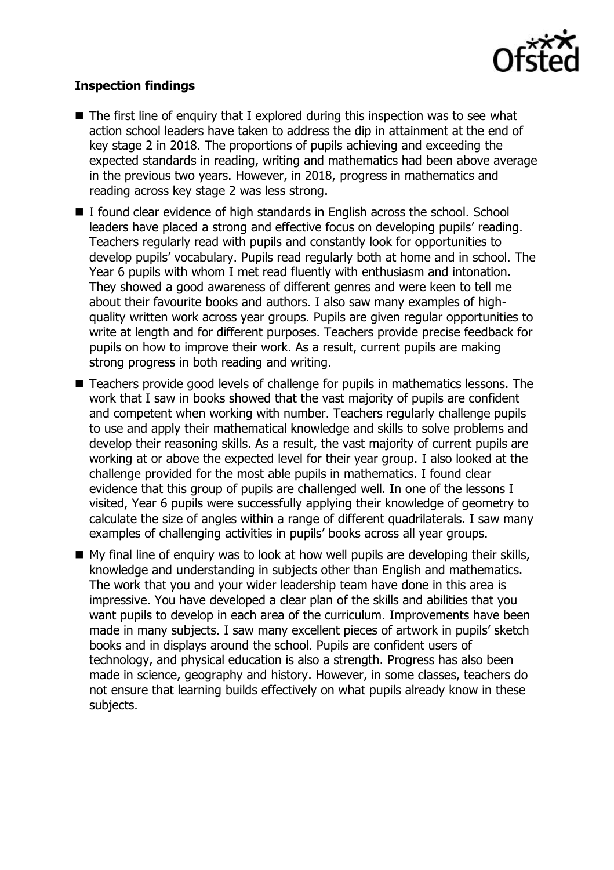

## **Inspection findings**

- $\blacksquare$  The first line of enguiry that I explored during this inspection was to see what action school leaders have taken to address the dip in attainment at the end of key stage 2 in 2018. The proportions of pupils achieving and exceeding the expected standards in reading, writing and mathematics had been above average in the previous two years. However, in 2018, progress in mathematics and reading across key stage 2 was less strong.
- I found clear evidence of high standards in English across the school. School leaders have placed a strong and effective focus on developing pupils' reading. Teachers regularly read with pupils and constantly look for opportunities to develop pupils' vocabulary. Pupils read regularly both at home and in school. The Year 6 pupils with whom I met read fluently with enthusiasm and intonation. They showed a good awareness of different genres and were keen to tell me about their favourite books and authors. I also saw many examples of highquality written work across year groups. Pupils are given regular opportunities to write at length and for different purposes. Teachers provide precise feedback for pupils on how to improve their work. As a result, current pupils are making strong progress in both reading and writing.
- Teachers provide good levels of challenge for pupils in mathematics lessons. The work that I saw in books showed that the vast majority of pupils are confident and competent when working with number. Teachers regularly challenge pupils to use and apply their mathematical knowledge and skills to solve problems and develop their reasoning skills. As a result, the vast majority of current pupils are working at or above the expected level for their year group. I also looked at the challenge provided for the most able pupils in mathematics. I found clear evidence that this group of pupils are challenged well. In one of the lessons I visited, Year 6 pupils were successfully applying their knowledge of geometry to calculate the size of angles within a range of different quadrilaterals. I saw many examples of challenging activities in pupils' books across all year groups.
- My final line of enquiry was to look at how well pupils are developing their skills, knowledge and understanding in subjects other than English and mathematics. The work that you and your wider leadership team have done in this area is impressive. You have developed a clear plan of the skills and abilities that you want pupils to develop in each area of the curriculum. Improvements have been made in many subjects. I saw many excellent pieces of artwork in pupils' sketch books and in displays around the school. Pupils are confident users of technology, and physical education is also a strength. Progress has also been made in science, geography and history. However, in some classes, teachers do not ensure that learning builds effectively on what pupils already know in these subjects.